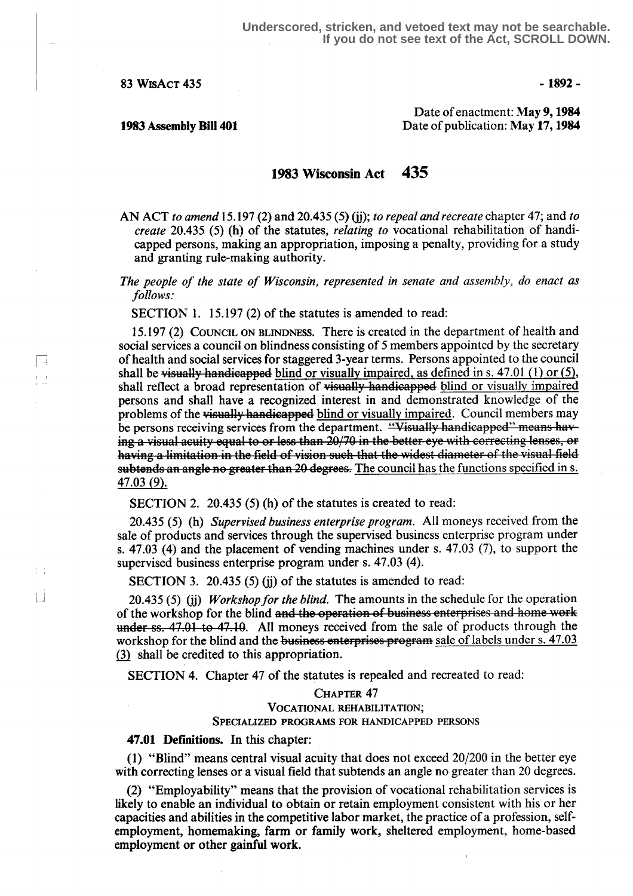83 WISACT 435 - 1892 - 1892 - 1892 - 1892 - 1892 - 1892 - 1892 - 1892 - 1892 - 1892 - 1892 - 1892 - 1892 - 1892 - 1892 - 1892 - 1892 - 1892 - 1892 - 1892 - 1892 - 1892 - 1892 - 1892 - 1892 - 1892 - 1892 - 1892 - 1892 - 189

M i i

 $\mathcal{I}=\mathcal{I}$ 

Date of enactment: May 9, 1984 1983 Assembly Bill 401 **Date of publication: May 17, 1984** 

## 1983 Wisconsin Act 43\$

AN ACT to amend 15.197 (2) and 20.435 (5) (jj); to repeal and recreate chapter 47; and to create 20.435 (5) (h) of the statutes, relating to vocational rehabilitation of handicapped persons, making an appropriation, imposing a penalty, providing for a study and granting rule-making authority.

The people of the state of Wisconsin, represented in senate and assembly, do enact as follows:

SECTION 1. 15.197 (2) of the statutes is amended to read:

<sup>15</sup> .197 (2) COUNCIL ON BLINDNESS. There is created in the department of health and social services a council on blindness consisting of 5 members appointed by the secretary of health and social services for staggered 3-year terms. Persons appointed to the council shall be visually handicapped blind or visually impaired, as defined in s.  $47.01$  (1) or (5), shall reflect a broad representation of visually handicapped blind or visually impaired persons and shall have a recognized interest in and demonstrated knowledge of the problems of the visually handicapped blind or visually impaired. Council members may be persons receiving services from the department. "Visually handicapped" means having a visual acuity equal to or less than 20/70 in the better eye with correcting lenses, or having a limitation in the field of vision such that the widest diameter of the visual field subtends an angle no greater than 20 degrees. The council has the functions specified in s. 47.03 (9).

SECTION 2. 20.435 (5) (h) of the statutes is created to read:

20.435 (5) (h) Supervised business enterprise program. All moneys received from the sale of products and services through the supervised business enterprise program under s.  $47.03$  (4) and the placement of vending machines under s.  $47.03$  (7), to support the supervised business enterprise program under s. 47.03 (4).

SECTION 3. 20.435 (5) (ij) of the statutes is amended to read:

 $20.435$  (5) (j) *Workshop for the blind*. The amounts in the schedule for the operation of the workshop for the blind and the operation of business enterprises and home work SECTION<br>20.435 (5)<br>of the works<br>under ss. 47.  $55.47.01$  to 47.10. All moneys received from the sale of products through the workshop for the blind and the business enterprises program sale of labels under s.  $47.03$ shall be credited to this appropriation.

SECTION 4. Chapter 47 of the statutes is repealed and recreated to read:

## CHAPTER 47 VOCATIONAL REHABILITATION; SPECIALIZED PROGRAMS FOR HANDICAPPED PERSONS

### 47.01 Definitions. In this chapter:

(1) "Blind" means central visual acuity that does not exceed 20/200 in the better eye with correcting lenses or a visual field that subtends an angle no greater than 20 degrees.

(2) "Employability" means that the provision of vocational rehabilitation services is likely to enable an individual to obtain or retain employment consistent with his or her capacities and abilities in the competitive labor market, the practice of a profession, selfemployment, homemaking, farm or family work, sheltered employment, home-based employment or other gainful work.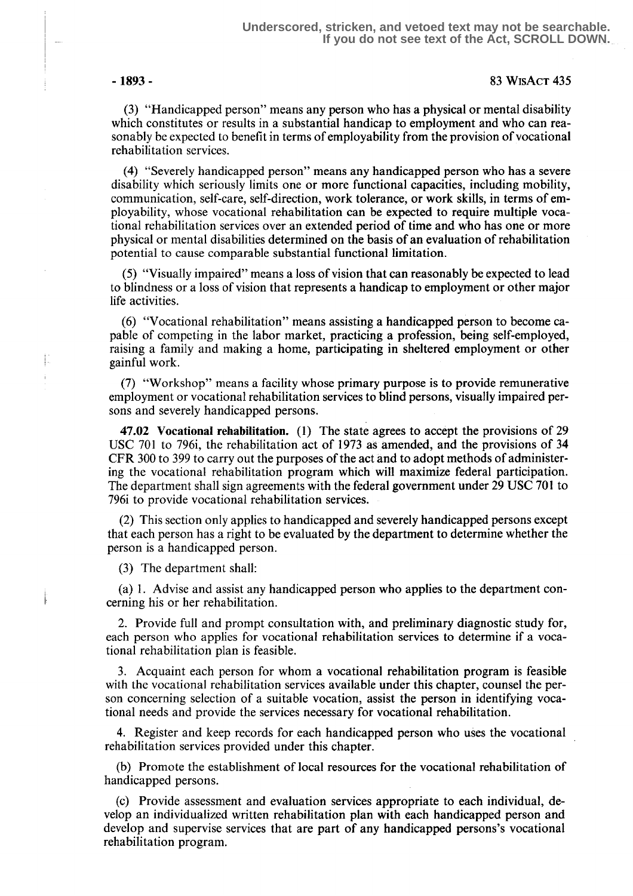### -1893 - 83 WisAcT 435

(3) "Handicapped person" means any person who has a physical or mental disability which constitutes or results in a substantial handicap to employment and who can reasonably be expected to benefit in terms of employability from the provision of vocational rehabilitation services .

(4) "Severely handicapped person" means any handicapped person who has a severe disability which seriously limits one or more functional capacities, including mobility, communication, self-care, self-direction, work tolerance, or work skills, in terms of employability, whose vocational rehabilitation can be expected to require multiple vocational rehabilitation services over an extended period of time and who has one or more physical or mental disabilities determined on the basis of an evaluation of rehabilitation potential to cause comparable substantial functional limitation .

(5) "Visually impaired" means a loss of vision that can reasonably be expected to lead to blindness or a loss of vision that represents a handicap to employment or other major life activities.

(6) "Vocational rehabilitation" means assisting a handicapped person to become capable of competing in the labor market, practicing a profession, being self-employed, raising a family and making a home, participating in sheltered employment or other '- gainful work.

> (7) "Workshop" means a facility whose primary purpose is to provide remunerative employment or vocational rehabilitation services to blind persons, visually impaired persons and severely handicapped persons.

> 47.02 Vocational rehabilitation. (1) The state agrees to accept the provisions of 29 USC 701 to 796i, the rehabilitation act of 1973 as amended, and the provisions of 34 CFR 300 to 399 to carry out the purposes of the act and to adopt methods of administering the vocational rehabilitation program which' will maximize federal participation. The department shall sign agreements with the federal government under 29 USC 701 to 796i to provide vocational rehabilitation services.

> (2) This section only applies to handicapped and severely handicapped persons except that each person has a right to be evaluated by the department to determine whether the person is a handicapped person.

(3) The department shall:

(a) 1 . Advise and assist any handicapped person who applies to the department concerning his or her rehabilitation.

2. Provide full and prompt consultation with, and preliminary diagnostic study for, each person who applies for vocational rehabilitation services to determine if a vocational rehabilitation plan is feasible .

3. Acquaint each person for whom a vocational rehabilitation program is feasible with the vocational rehabilitation services available under this chapter, counsel the person concerning selection of a suitable vocation, assist the person in identifying vocational needs and provide the services necessary for vocational rehabilitation .

4. Register and keep records for each handicapped person who uses the vocational rehabilitation services provided under this chapter.

(b) Promote the establishment of local resources for the vocational rehabilitation of handicapped persons.

(c) Provide assessment and evaluation services appropriate to each individual, develop an individualized written rehabilitation plan with each handicapped person and develop and supervise services that are part of any handicapped persons's vocational rehabilitation program.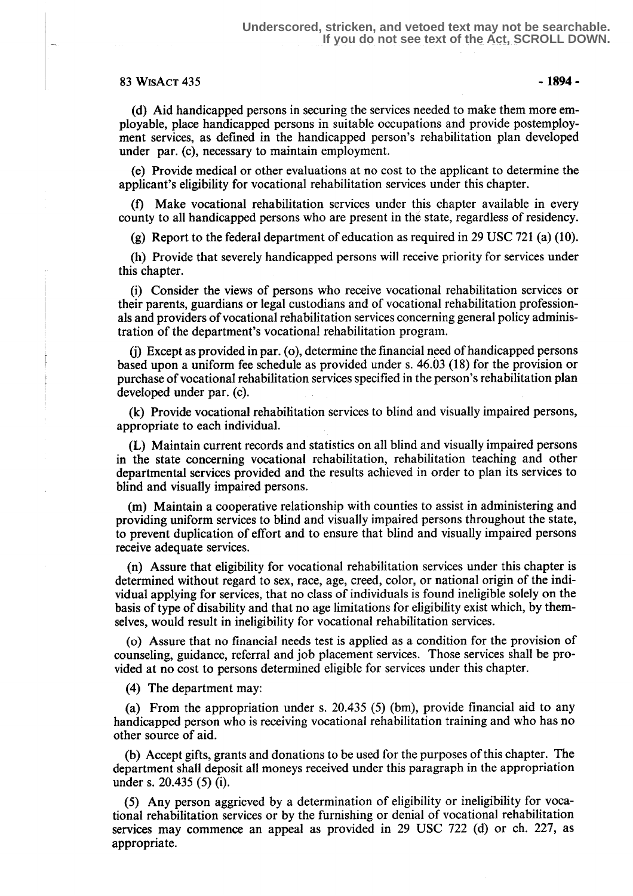## $83$  WISACT 435  $-$  1894 -

(d) Aid handicapped persons in securing the services needed to make them more employable, place handicapped persons in suitable occupations and provide postemployment services, as defined in the handicapped person's rehabilitation plan developed under par. (c), necessary to maintain employment.

(e) Provide medical or other evaluations at no cost to the applicant to determine the applicant's eligibility for vocational rehabilitation services under this chapter.

(f) Make vocational rehabilitation services under this chapter available in every county to all handicapped persons who are present in the state, regardless of residency.

(g) Report to the federal department of education as required in 29 USC 721 (a) (10) .

(h) Provide that severely handicapped persons will receive priority for services under this chapter.

(i) Consider the views of persons who receive vocational rehabilitation services or their parents, guardians or legal custodians and of vocational rehabilitation professionals and providers of vocational rehabilitation services concerning general policy administration of the department's vocational rehabilitation program.

(j) Except as provided in par. (o), determine the financial need of handicapped persons based upon a uniform fee schedule as provided under s . 46.03 (18) far the provision or purchase of vocational rehabilitation services specified in the person's rehabilitation plan developed under par. (c).

(k) Provide vocational rehabilitation services to blind and visually impaired persons, appropriate to each individual.

(L) Maintain current records and statistics on all blind and visually impaired persons in the state concerning vocational rehabilitation, rehabilitation teaching and other departmental services provided and the results achieved in order to plan its services to blind and visually impaired persons.

(m) Maintain a cooperative relationship with counties to assist in administering and providing uniform services to blind and visually impaired persons throughout the state, to prevent duplication of effort and to ensure that blind and visually impaired persons receive adequate services.

(n) Assure that eligibility for vocational rehabilitation services under this chapter is determined without regard to sex, race, age, creed, color, or national origin of the individual applying for services, that no class of individuals is found ineligible solely on the basis of type of disability and that no age limitations for eligibility exist which, by themselves, would result in ineligibility for vocational rehabilitation services.

(o) Assure that no financial needs test is applied as a condition for the provision of counseling, guidance, referral and job placement services. Those services shall be provided at no cost to persons determined eligible for services under this chapter.

(4) The department may:

(a) From the appropriation under s. 20.435 (5) (bm), provide financial aid to any handicapped person who is receiving vocational rehabilitation training and who has no other source of aid.

(b) Accept gifts, grants and donations to be used for the purposes of this chapter. The department shall deposit all moneys received under this paragraph in the appropriation under s. 20.435 (5) (i).

(5) Any person aggrieved by a determination of eligibility or ineligibility for vocational rehabilitation services or by the furnishing or denial of vocational rehabilitation services may commence an appeal as provided in 29 USC 722 (d) or ch. 227, as appropriate.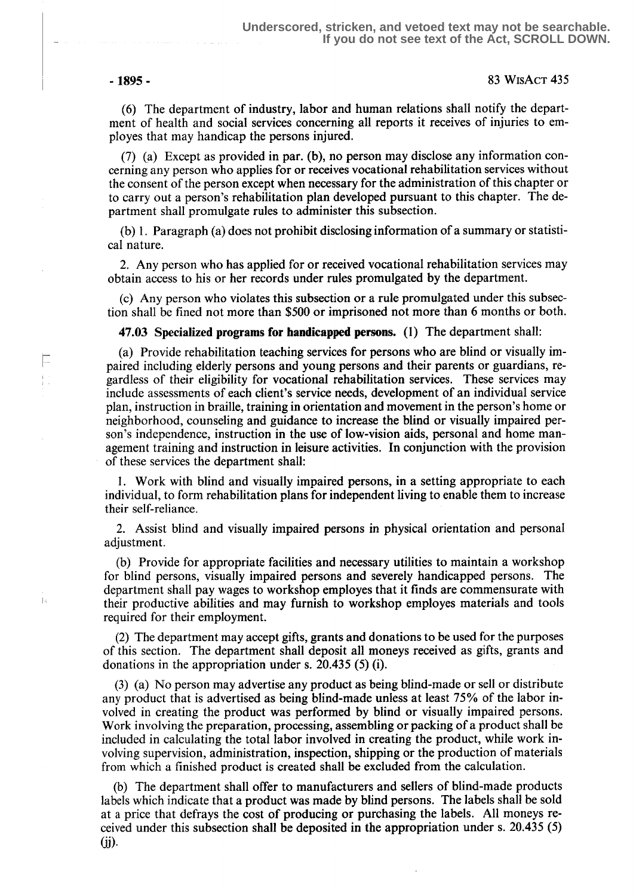E ŧ.

j.

### -1895- 83 WisAcT 435

(6) The department of industry, labor and human relations shall notify the department of health and social services concerning all reports it receives of injuries to employes that may handicap the persons injured.

(7) (a) Except as provided in par. (b), no person may disclose any information concerning any person who applies for or receives vocational rehabilitation services without the consent of the person except when necessary for the administration of this chapter or to carry out a person's rehabilitation plan developed pursuant to this chapter. The department shall promulgate rules to administer this subsection.

(b) 1 . Paragraph (a) does not prohibit disclosing information of a summary or statistical nature.

2. Any person who has applied for or received vocational rehabilitation services may obtain access to his or her records under rules promulgated by the department.

(c) Any person who violates this subsection or a rule promulgated under this subsection shall be fined not more than \$500 or imprisoned not more than 6 months or both.

47.03 Specialized programs for handicapped persons. (1) The department shall:

(a) Provide rehabilitation teaching services for persons who are blind or visually impaired including elderly persons and young persons and their parents or guardians, regardless of their eligibility for vocational rehabilitation services . These services may include assessments of each client's service needs, development of an individual service plan, instruction in Braille, training in orientation and movement in the person's home or neighborhood, counseling and guidance to increase the blind or visually impaired person's independence, instruction in the use of low-vision aids, personal and home management training and instruction in leisure activities. In conjunction with the provision of these services the department shall:

1. Work with blind and visually impaired persons, in a setting appropriate to each individual, to form rehabilitation plans for independent living to enable them to increase their self-reliance.

2. Assist blind and visually impaired persons in physical orientation and personal adjustment.

(b) Provide for appropriate facilities and necessary utilities to maintain a workshop for blind persons, visually impaired persons and severely handicapped persons. The department shall pay wages to workshop employes that it finds are commensurate with their productive abilities and may furnish to workshop employes materials and tools required for their employment.

(2) The department may accept gifts, grants and donations to be used for the purposes of this section. The department shall deposit all moneys received as gifts, grants and donations in the appropriation under s. 20.435 (5) (i).

(3) (a) No person may advertise any product as being blind-made or sell or distribute any product that is advertised as being blind-made unless at least 75% of the labor involved in creating the product was performed by blind or visually impaired persons. Work involving the preparation, processing, assembling or packing of a product shall be included in calculating the total labor involved in creating the product, while work involving supervision, administration, inspection, shipping or the production of materials from which a finished product is created shall be excluded from the calculation .

(b) The department shall offer to manufacturers and sellers of blind-made products labels which indicate that a product was made by blind persons. The labels shall be sold at a price that defrays the cost of producing or purchasing the labels. All moneys received under this subsection shall be deposited in the appropriation under s. 20.435  $(5)$  $(ii)$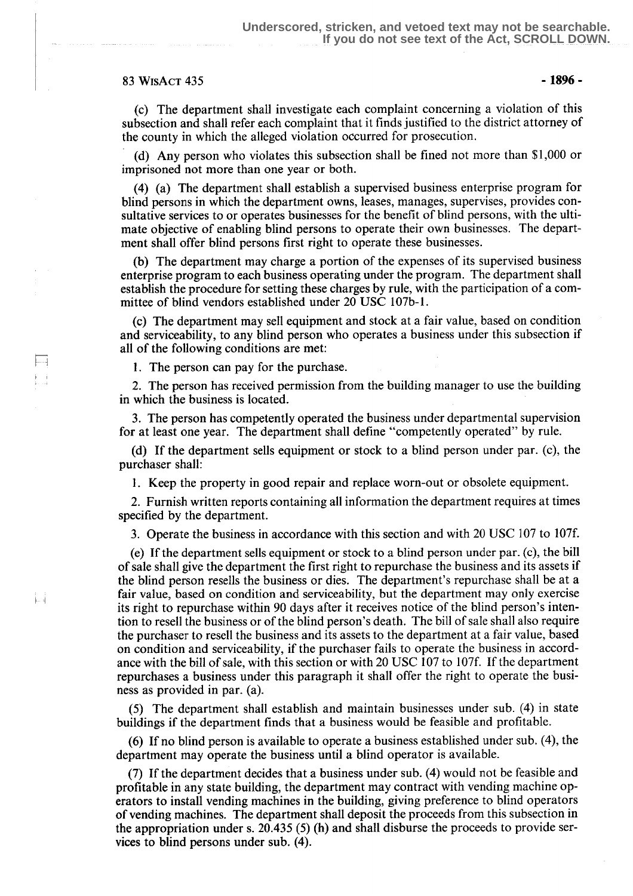# 83 WISACT 435 - 1896 -

LЧ i<br>Li

Ħ

(c) The department shall investigate each complaint concerning a violation of this subsection and shall refer each complaint that it finds justified to the district attorney of the county in which the alleged violation occurred for prosecution .

(d) Any person who violates this subsection shall be fined not more than \$1,000 or imprisoned not more than one year or both.

(4) (a) The department shall establish a supervised business enterprise program for blind persons in which the department owns, leases, manages, supervises, provides consultative services to or operates businesses for the benefit of blind persons, with the ultimate objective of enabling blind persons to operate their own businesses. The department shall offer blind persons first right to operate these businesses .

(b) The department may charge a portion of the expenses of its supervised business enterprise program to each business operating under the program. The department shall establish the procedure for setting these charges by rule, with the participation of a committee of blind vendors established under 20 USC 107b-1.

(c) The department may sell equipment and stock at a fair value, based on condition and serviceability, to any blind person who operates a business under this subsection if all of the following conditions are met:

1. The person can pay for the purchase.

2. The person has received permission from the building manager to use the building in which the business is located .

3. The person has competently operated the business under departmental supervision for at least one year. The department shall define "competently operated" by rule .

(d) If the department sells equipment or stock to a blind person under par. (c), the purchaser shall:

<sup>1</sup> . Keep the property in good repair and replace worn-out or obsolete equipment.

2. Furnish written reports containing all information the department requires at times specified by the department.

3. Operate the business in accordance with this section and with 20 USC 107 to 107f.

(e) If the department sells equipment or stock to a blind person under par. (c), the bill of sale shall give the department the first right to repurchase the business and its assets if the blind person resells the business or dies. The department's repurchase shall be at a fair value, based on condition and serviceability, but the department may only exercise its right to repurchase within 90 days after it receives notice of the blind person's intention to resell the business or of the blind person's death . The bill of sale shall also require the purchaser to resell the business and its assets to the department at a fair value, based on condition and serviceability, if the purchaser fails to operate the business in accordance with the bill of sale, with this section or with 20 USC 107 to 107f. If the department repurchases a business under this paragraph it shall offer the right to operate the business as provided in par. (a).

(5) The department shall establish and maintain businesses under sub. (4) in state buildings if the department finds that a business would be feasible and profitable .

(6) If no blind person is available to operate a business established under sub. (4), the department may operate the business until a blind operator is available.

(7) If the department decides that a business under sub. (4) would not be feasible and profitable in any state building, the department may contract with vending machine operators to install vending machines in the building, giving preference to blind operators of vending machines. The department shall deposit the proceeds from this subsection in the appropriation under s. 20.435 (5) (h) and shall disburse the proceeds to provide services to blind persons under sub. (4).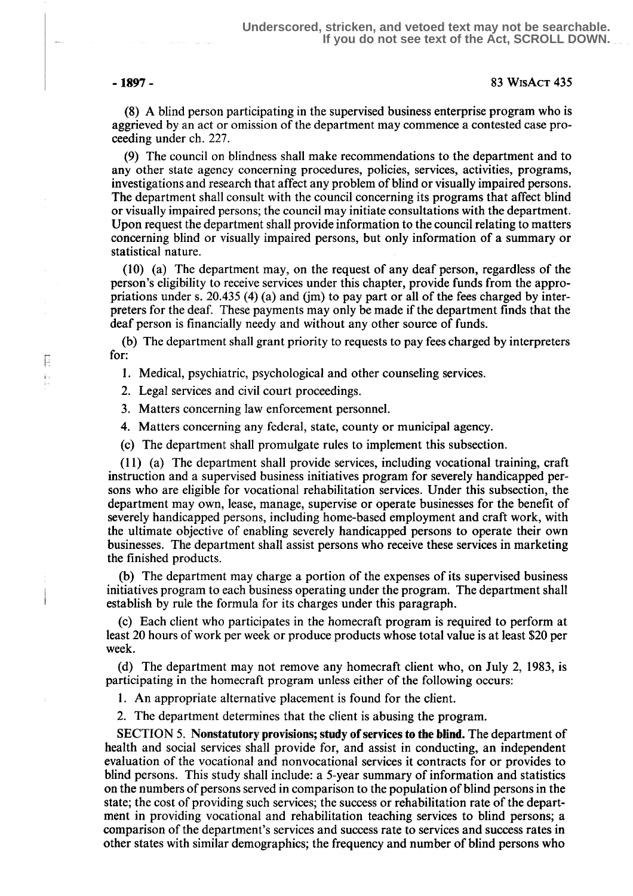E ia<br>L

### -1897 - 83 WisAct 435

(8) A blind person participating in the supervised business enterprise program who is aggrieved by an act or omission of the department may commence a contested case proceeding under ch. 227.

(9) The council on blindness shall make recommendations to the department and to any other state agency concerning procedures, policies, services, activities, programs, investigations and research that affect any problem of blind or visually impaired persons . The department shall consult with the council concerning its programs that affect blind or visually impaired persons; the council may initiate consultations with the department . Upon request the department shall provide information to the council relating to matters concerning blind or visually impaired persons, but only information of a summary or statistical nature.

(10) (a) The department may, on the request of any deaf person, regardless of the person's eligibility to receive services under this chapter, provide funds from the appropriations under s. 20.435 (4) (a) and (jm) to pay part or all of the fees charged by interpreters for the deaf. These payments may only be made if the department finds that the deaf person is financially needy and without any other source of funds.

(b) The department shall grant priority to requests to pay fees charged by interpreters for:

1. Medical, psychiatric, psychological and other counseling services .

2. Legal services and civil court proceedings.

3. Matters concerning law enforcement personnel.

4. Matters concerning any federal, state, county or municipal agency.

(c) The department shall promulgate rules to implement this subsection.

(11) (a) The department shall provide services, including vocational training, craft instruction and a supervised business initiatives program for severely handicapped persons who are eligible for vocational rehabilitation services . Under this subsection, the department may own, lease, manage, supervise or operate businesses for the benefit of severely handicapped persons, including home-based employment and craft work, with the ultimate objective of enabling severely handicapped persons to operate their own businesses . The department shall assist persons who receive these services in marketing the finished products .

(b) The department may charge a portion of the expenses of its supervised business initiatives program to each business operating under the program. The department shall establish by rule the formula for its charges under this paragraph.

(c) Each client who participates in the homecraft program is required to perform at least 20 hours of work per week or produce products whose total value is at least \$20 per week.

(d) The department may not remove any homecraft client who, on July 2, 1983, is participating in the homecraft program unless either of the following occurs:

1. An appropriate alternative placement is found for the client.

2. The department determines that the client is abusing the program.

SECTION 5. Nonstatutory provisions; study of services to the blind. The department of health and social services shall provide for, and assist in conducting, an independent evaluation of the vocational and nonvocational services it contracts for or provides to blind persons. This study shall include: a 5-year summary of information and statistics on the numbers of persons served in comparison to the population of blind persons in the state; the cost of providing such services; the success or rehabilitation rate of the department in providing vocational and rehabilitation teaching services to blind persons; a comparison of the department's services and success rate to services and success rates in other states with similar demographics; the frequency and number of blind persons who